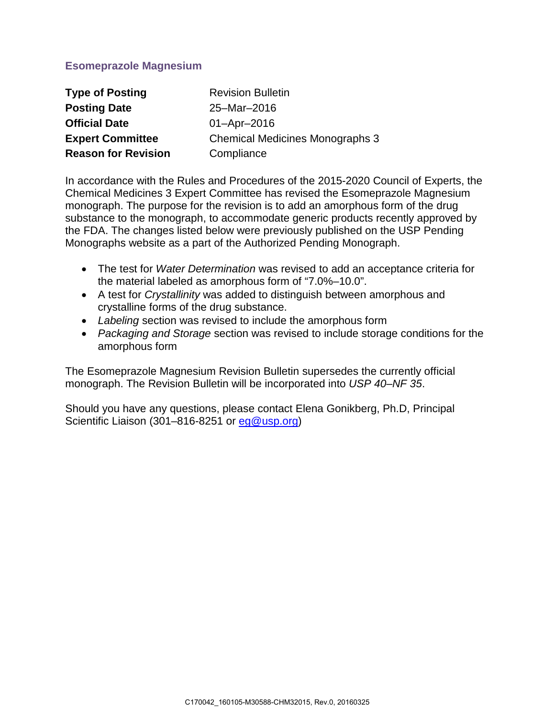# **Esomeprazole Magnesium**

| <b>Type of Posting</b>     | <b>Revision Bulletin</b>               |  |  |
|----------------------------|----------------------------------------|--|--|
| <b>Posting Date</b>        | 25-Mar-2016                            |  |  |
| <b>Official Date</b>       | $01 -$ Apr $-2016$                     |  |  |
| <b>Expert Committee</b>    | <b>Chemical Medicines Monographs 3</b> |  |  |
| <b>Reason for Revision</b> | Compliance                             |  |  |

In accordance with the Rules and Procedures of the 2015-2020 Council of Experts, the Chemical Medicines 3 Expert Committee has revised the Esomeprazole Magnesium monograph. The purpose for the revision is to add an amorphous form of the drug substance to the monograph, to accommodate generic products recently approved by the FDA. The changes listed below were previously published on the USP Pending Monographs website as a part of the Authorized Pending Monograph.

- The test for *Water Determination* was revised to add an acceptance criteria for the material labeled as amorphous form of "7.0%–10.0".
- A test for *Crystallinity* was added to distinguish between amorphous and crystalline forms of the drug substance.
- *Labeling* section was revised to include the amorphous form
- *Packaging and Storage* section was revised to include storage conditions for the amorphous form

The Esomeprazole Magnesium Revision Bulletin supersedes the currently official monograph. The Revision Bulletin will be incorporated into *USP 40–NF 35*.

Should you have any questions, please contact Elena Gonikberg, Ph.D, Principal Scientific Liaison (301–816-8251 or [eg@usp.org\)](mailto:eg@usp.org)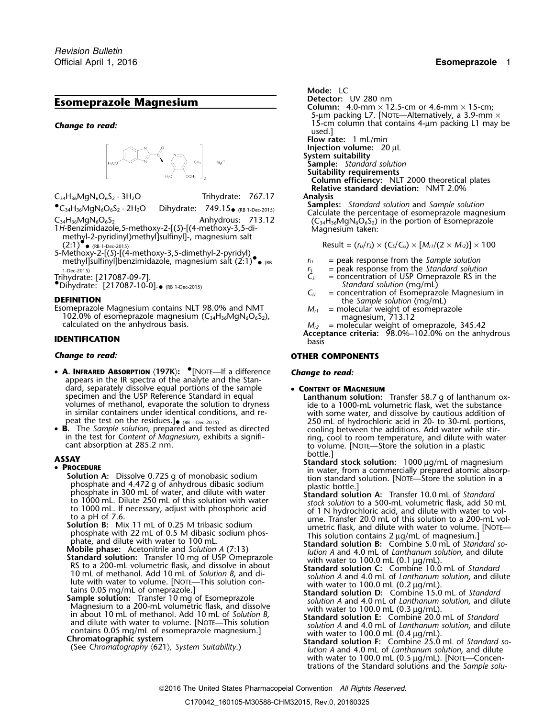

C34H36MgN6O6S<sup>2</sup> · 3H2O Trihydrate: 767.17 **Analysis**

 $\bullet$ C<sub>34</sub>H<sub>36</sub>MgN<sub>6</sub>O<sub>6</sub>S<sub>2</sub> · 2H<sub>2</sub>O Dihydrate: 749.15

- $C_{34}H_{36}MgN_6O_6S_2$ <br>1H-Benzimidazole,5-methoxy-2-[(S)-[(4-methoxy-3,5-di-<br>methyl-2-pyridinyl)methyl]sulfinyl]-, magnesium salt<br>methyl-2-pyridinyl)methyl]sulfinyl]-, magnesium salt  $(2:1)$ °.
- 5-Methoxy-2-[(*S*)-[(4-methoxy-3,5-dimethyl-2-pyridyl)<br>Thenzimidazole, magnesium salt (2:1) <sub>(RB</sub><br>RB

.Dihydrate: [217087-10-0]. *Standard solution* (mg/mL) • (RB 1-Dec-2015)

**DEFINITION**<br>
Esomeprazole Magnesium contains NLT 98.0% and NMT<br>  $102.0%$  of esomeprazole magnesium (C<sub>34</sub>H<sub>36</sub>MgN<sub>6</sub>O<sub>6</sub>S<sub>2</sub>),<br>  $M_{r1}$  = molecular weight of esomeprazole<br>
magnesium, 713.12<br>
calculated on the anhydrous b

- **<sup>A</sup>. INFRARED ABSORPTION** 〈**197K**〉**:** •.[NOTE—If a difference *Change to read:* appears in the IR spectra of the analyte and the Standard, separately dissolve equal portions of the sample **• CONTENT OF MAGNESIUM**<br>specimen and the USP Reference Standard in equal **Lanthanum solution:** peat the test on the residues.] $_{\bullet}$
- •

- -
	-
	-
	-

**Esomeprazole Magnesium The Column:** Detector: UV 280 nm<br>
Column: 4.0-mm × 12.5-cm or 4.6-mm × 15-cm; 5-µm packing L7. [NOTE—Alternatively, a 3.9-mm  $\times$ **Change to read: Change to read: Change to read: Change to read:** used.] **Change to read:** used.]

**Flow rate:** 1 mL/min **Injection volume:** 20 µL

**System suitability**

*.* **Mode:** LC

**Sample:** *Standard solution*

**Suitability requirements**

**Column efficiency:** NLT 2000 theoretical plates **Relative standard deviation:** NMT 2.0%

**Samples:** *Standard solution* and *Sample solution*

 $(Result = (r_U/r_S) \times (C_S/C_U) \times [M_{r1}/(2 \times M_{r2})] \times 100$ 

- $r_U$  = peak response from the *Sample solution*
- 1-Dec-2015) *<sup>r</sup><sup>S</sup>* = peak response from the *Standard solution*
- Trihydrate: [217087-09-7].  $C_s$  = concentration of USP Omeprazole RS in the  $C_s$  = concentration of USP Omeprazole RS in the
	-
	-

**Acceptance criteria:**  $\frac{98.0\% - 102.0\% \text{ on the anhydrous}}{\text{basis}}$ 

## *Change to read:* **OTHER COMPONENTS**

specimen and the USP Reference Standard in equal<br>volumes of methanol, evaporate the solution to dryness ide to a 1000-mL volumetric flask, wet the substance<br>in similar containers under identical conditions, and re-<br>with so  $250$  mL of hydrochloric acid in  $20$ - to  $30$ -mL portions, cooling between the additions. Add water while stir-• **B.** The *Sample solution*, prepared and tested as directed cooling between the additions. Add water while stir-<br>in the test for *Content of Magnesium*, exhibits a signifi-<br>cant absorption at 285.2 nm. to volume. [NOTE—S

**ASSAY**<br>• **PROCEDURE**<br>in water, from a commercially prepared atomic absorp-<br>in water, from a commercially prepared atomic absorp-

- **PROCEIUME**<br> **PROCEIUSE:** The material in the standard solution A: Dissolve 0.725 g of monobasic sodium<br>
phosphate and 4.472 g of anhydrous dibase is odentially in the solution in a<br>
phosphate in 300 mL. Diff use 200 mL o
	-
	-
	-
	-
	- with water to 100.0 mL (0.5 µg/mL). [NOTE-Concentrations of the Standard solutions and the *Sample solu-*

2016 The United States Pharmacopeial Convention *All Rights Reserved.*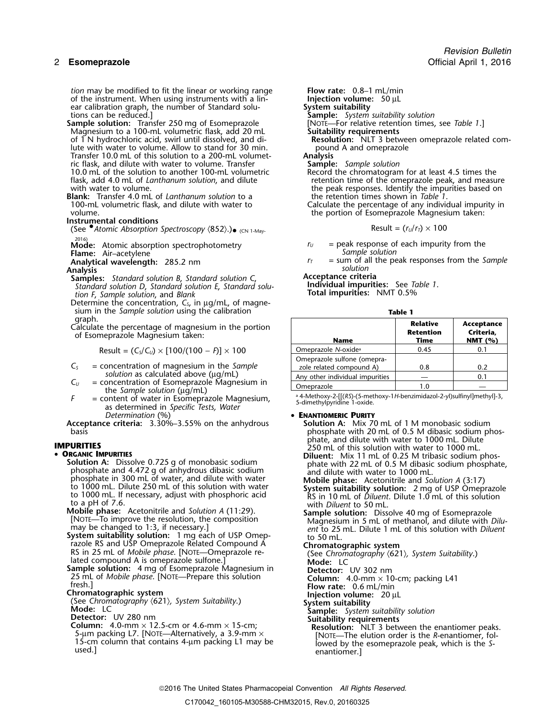*tion* may be modified to fit the linear or working range **Flow rate:** 0.8–1 mL/min of the instrument. When using instruments with a lin- **Injection volume:** 50 µL of the instrument. When using instruments with a lin-<br>ear calibration graph, the number of Standard solu-<br>**System suitability** ear calibration graph, the number of Standard solu-<br> **System suitability** solution be reduced.]<br> **Sample:** System suitability solution: Transfer 250 mg of Esomeprazole [NOTE—For relative retention times, see Table 1.] tions can be reduced.] **Sample:** *System suitability solution*

- **Sample solution:** Transfer 250 mg of Esomeprazole [NOTE—For relative retention times, see *Table 1*.] Magnesium to a 100-mL volumetric flask, add 20 mL **Suitability requirements** of 1 N hydrochloric acid, swirl until dissolved, and di-**Resolution:** NLT 3 between lute with water to volume. Allow to stand for 30 min. lute with water to volume. Allow to stand for 30 min. *pound* pound a pound a a great of this solution to a 200-mL volumet-Transfer 10.0 mL of this solution to a 200-mL volumet- **Analysis** ric flask, and dilute with water to volume. Transfer **Sample:** *Sample solution* 10.0 mL of the solution to another 100-mL volumetric flask, add 4.0 mL of *Lanthanum solution*, and dilute flask, add 4.0 mL of *Lanthanum solution*, and dilute retention time of the omeprazole peak, and measure with water to volume.
- **Blank:** Transfer 4.0 mL of *Lanthanum solution* to a

**Instrumental conditions** (See •.*Atomic Absorption Spectroscopy* 〈852〉.) Result = (*<sup>r</sup>U*/*<sup>r</sup>T*) ×<sup>100</sup> • (CN 1-May-

**Flame:** Air–acetylene *Sample solution*<br> **Analytical wavelength:** 285.2 nm *Sample solution F<sub>T</sub>* = sum of all the per

- **Samples:** *Standard solution B*, *Standard solution C*, **Acceptance criteria** *Standard solution D* **Individual impurities:** See *Table 1*. , *Standard solution E*, *Standard solution F*, *Sample solution*, and *Blank* **Total impurities:** NMT 0.5%
- Determine the concentration, *C<sup>S</sup>*, in µg/mL, of magnesium in the *Sample solution* using the calibration **Table 1**

graph. **Relative Acceptance** Calculate the percentage of magnesium in the portion **Retention Criteria,** of Esomeprazole Magnesium taken: **Name Time NMT (%)**

Result = 
$$
(C_s/C_v) \times [100/(100 - F)] \times 100
$$

- $C<sub>S</sub>$  = concentration of magnesium in the *Sample* solution as calculated above ( $\mu$ g/mL)
- *Su* = concentration of Esomeprazole Magnesium in<br>the *Sample solution* (µg/mL)<br> $F =$  content of water in Esomeprazole Magnesium,
- Are solution ( $\frac{1}{2}$ ,  $\frac{1}{2}$ ,  $\frac{1}{2}$ ,  $\frac{1}{2}$ ,  $\frac{1}{2}$ ,  $\frac{1}{2}$ ,  $\frac{1}{2}$ ,  $\frac{1}{2}$ ,  $\frac{1}{2}$ ,  $\frac{1}{2}$ ,  $\frac{1}{2}$ ,  $\frac{1}{2}$ ,  $\frac{1}{2}$ ,  $\frac{1}{2}$ ,  $\frac{1}{2}$ ,  $\frac{1}{2}$ ,  $\frac{1}{2}$ ,  $\frac{1}{2}$ ,  $\frac{1}{2}$ ,

**Acceptance criteria:** 3.30%–3.55% on the anhydrous

## •

phosphate and 4.472 g of anhydrous dibasic sodium<br>phosphate in 300 mL of water, and dilute with water<br>to 1000 mL. Dilute 250 mL of this solution with water phosphate in 300 mL of water, and dilute with water<br>to 1000 mL. Dilute 250 mL of this solution with water<br>to 1000 mL. If necessary, adjust with phosphoric acid<br>to a pH of 7.6.<br>to a pH of 7.6.<br>to a pH of 7.6. to a pH of 7.6.<br>**Mobile phase:** Acetonitrile and *Solution A* (11:29). with *Diluent* to 50 mL.

**System suitability solution:** 1 mg each of USP Omep-<br>razole RS and USP Omeprazole Related Compound A **Chromato** razole RS and USP Omeprazole Related Compound A **Chromatographic system** RS in 25 mL of *Mobile phase*. [NOTE—Omeprazole re- (See *Chromatography* 〈621〉*, System Suitability*.) lated compound A is omeprazole sulfone.] **Mode:** LC

**Sample solution:** 4 mg of Esomeprazole Magnesium in **Detector:** UV 302 nm **Sample solution:** 4 mg of Esomeprazole Magnesium in **Column:** 4.0-mm × 10-cm; packing L41 fresh.]<br>
25 mL of *Mobile phase*. [NOTE—Prepare this solution **Column:** 4.0-mm × 10-cm; packing L41 fresh.]<br> **Chromatographic syst** 

- 
- 

the peak responses. Identify the impurities based on the retention times shown in Table 1.

100-mL volumetric flask, and dilute with water to Calculate the percentage of any individual impurity in volume the portion of Esomeprazole Magnesium taken:

$$
Result = (r_U/r_T) \times 100
$$

- 2016) **Mode:** Atomic absorption spectrophotometry *<sup>r</sup><sup>U</sup>* = peak response of each impurity from the
- **Analytical wavelength:** 285.2 nm *r<sub>T</sub>* = sum of all the peak responses from the *Sample*<br>Analysis solution **Analysis** *solution*

| e the percentage of magnesium in the portion<br>neprazole Magnesium taken:             | <b>Name</b>                                             | <b>Relative</b><br><b>Retention</b><br>Time | Acceptance<br>Criteria.<br>NMT $(%)$ |
|----------------------------------------------------------------------------------------|---------------------------------------------------------|---------------------------------------------|--------------------------------------|
| Result = $(C_s/C_u) \times [100/(100 - F)] \times 100$                                 | Omeprazole N-oxide <sup>a</sup>                         | 0.45                                        | 0.1                                  |
| concentration of magnesium in the Sample                                               | Omeprazole sulfone (omepra-<br>zole related compound A) | 0.8                                         | 0.2                                  |
| solution as calculated above (µg/mL)                                                   | Any other individual impurities                         |                                             | 0.1                                  |
| concentration of Esomeprazole Magnesium in<br>the <i>Sample</i> solution $(i\alpha/m)$ | Omeprazole                                              | 1.0                                         |                                      |

**PERANTIOMERIC PURITY**<br>**Determination A:** Mix 70 mL of 1 M monobasic sodium basis phosphate with 20 mL of 0.5 M dibasic sodium phos-**IMPURITIES**<br> **IMPURITIES**<br> **PREANIC IMPURITIES**<br> **PREANIC IMPURITIES**<br> **PREANIC IMPURITIES**<br> **PREANIC IMPURITIES**<br> **PREANIC IMPURITIES** 

**DREANIC IMPURITIES**<br> **Solution A:** Dissolve 0.725 g of monobasic sodium<br>
phosphate and 4.472 g of anhydrous dibasic sodium phosphate,<br>
and dilute with water to 1000 mL.

Mobile phase: Acetonitrile and Solution A (11:29).<br>[NOTE—To improve the resolution, the composition Magnesium in 5 mL of methanol, and dilute with *Dilu*-<br>may be changed to 1:3, if necessary.] ent to 25 mL. Dilute 1 mL of ent to 25 mL. Dilute 1 mL of this solution with *Diluent* 

- 
- 

(See Chromatography  $\langle 621 \rangle$ , System Suitability.)<br>
Mode: LC<br>
Detector: UV 280 nm<br>
Column: 4.0-mm × 12.5-cm or 4.6-mm × 15-cm;<br>
Suitability requirements<br>
Column: 4.0-mm × 12.5-cm or 4.6-mm × 15-cm;<br>
S-um packing L7. [NO